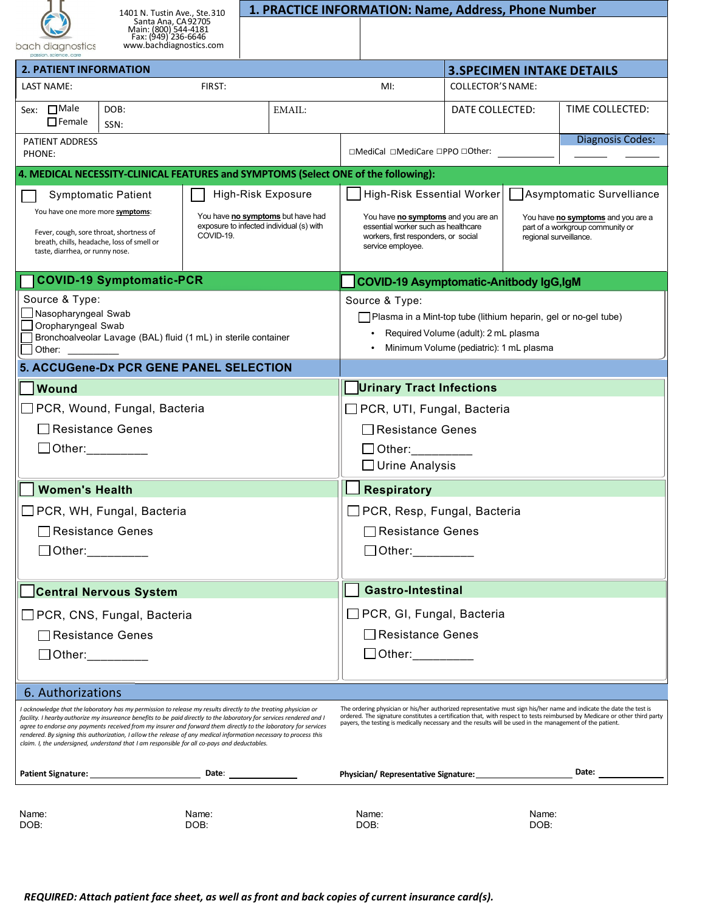| bach diagnos |
|--------------|

1401 N. Tustin Ave., Ste.310 Santa Ana, CA92705 Main: (800) 544-4181 Fax: (949) 236-6646

## **1. PRACTICE INFORMATION: Name, Address, Phone Number**

stics

| Fax: (949)'236-6646<br>www.bachdiagnostics.com |  |
|------------------------------------------------|--|
|                                                |  |

| JUUT URUYHOJILO<br>passion, science, care                                                                                                                                                                                                                                                                                                                                                                                                                                                                                                                                        |                                                                                            |                                                                                                                                                                                                                                                                                                                                                                 |                                                                                                                                                                                                                                             |                                               |                 |                 |  |
|----------------------------------------------------------------------------------------------------------------------------------------------------------------------------------------------------------------------------------------------------------------------------------------------------------------------------------------------------------------------------------------------------------------------------------------------------------------------------------------------------------------------------------------------------------------------------------|--------------------------------------------------------------------------------------------|-----------------------------------------------------------------------------------------------------------------------------------------------------------------------------------------------------------------------------------------------------------------------------------------------------------------------------------------------------------------|---------------------------------------------------------------------------------------------------------------------------------------------------------------------------------------------------------------------------------------------|-----------------------------------------------|-----------------|-----------------|--|
| <b>2. PATIENT INFORMATION</b>                                                                                                                                                                                                                                                                                                                                                                                                                                                                                                                                                    |                                                                                            |                                                                                                                                                                                                                                                                                                                                                                 |                                                                                                                                                                                                                                             | <b>3. SPECIMEN INTAKE DETAILS</b>             |                 |                 |  |
| LAST NAME:                                                                                                                                                                                                                                                                                                                                                                                                                                                                                                                                                                       | FIRST:<br>MI:                                                                              |                                                                                                                                                                                                                                                                                                                                                                 |                                                                                                                                                                                                                                             | <b>COLLECTOR'S NAME:</b>                      |                 |                 |  |
| Sex: □Male<br>DOB:<br>$\Box$ Female<br>SSN:                                                                                                                                                                                                                                                                                                                                                                                                                                                                                                                                      |                                                                                            | EMAIL:                                                                                                                                                                                                                                                                                                                                                          |                                                                                                                                                                                                                                             |                                               | DATE COLLECTED: | TIME COLLECTED: |  |
| PATIENT ADDRESS<br>PHONE:                                                                                                                                                                                                                                                                                                                                                                                                                                                                                                                                                        |                                                                                            | $\Box$ MediCal $\Box$ MediCare $\Box$ PPO $\Box$ Other:                                                                                                                                                                                                                                                                                                         | Diagnosis Codes:                                                                                                                                                                                                                            |                                               |                 |                 |  |
| 4. MEDICAL NECESSITY-CLINICAL FEATURES and SYMPTOMS (Select ONE of the following):                                                                                                                                                                                                                                                                                                                                                                                                                                                                                               |                                                                                            |                                                                                                                                                                                                                                                                                                                                                                 |                                                                                                                                                                                                                                             |                                               |                 |                 |  |
| <b>Symptomatic Patient</b>                                                                                                                                                                                                                                                                                                                                                                                                                                                                                                                                                       | High-Risk Exposure                                                                         |                                                                                                                                                                                                                                                                                                                                                                 | Asymptomatic Survelliance<br>High-Risk Essential Worker                                                                                                                                                                                     |                                               |                 |                 |  |
| You have one more more symptoms:<br>Fever, cough, sore throat, shortness of<br>breath, chills, headache, loss of smell or<br>taste, diarrhea, or runny nose.                                                                                                                                                                                                                                                                                                                                                                                                                     | You have no symptoms but have had<br>exposure to infected individual (s) with<br>COVID-19. |                                                                                                                                                                                                                                                                                                                                                                 | You have no symptoms and you are an<br>You have no symptoms and you are a<br>essential worker such as healthcare<br>part of a workgroup community or<br>workers, first responders, or social<br>regional surveillance.<br>service employee. |                                               |                 |                 |  |
| <b>COVID-19 Symptomatic-PCR</b>                                                                                                                                                                                                                                                                                                                                                                                                                                                                                                                                                  |                                                                                            |                                                                                                                                                                                                                                                                                                                                                                 |                                                                                                                                                                                                                                             | <b>COVID-19 Asymptomatic-Anitbody IgG,IgM</b> |                 |                 |  |
| Source & Type:<br>│ Nasopharyngeal Swab<br>Oropharyngeal Swab<br>Bronchoalveolar Lavage (BAL) fluid (1 mL) in sterile container<br>Other:                                                                                                                                                                                                                                                                                                                                                                                                                                        |                                                                                            |                                                                                                                                                                                                                                                                                                                                                                 | Source & Type:<br>Plasma in a Mint-top tube (lithium heparin, gel or no-gel tube)<br>Required Volume (adult): 2 mL plasma<br>Minimum Volume (pediatric): 1 mL plasma                                                                        |                                               |                 |                 |  |
| 5. ACCUGene-Dx PCR GENE PANEL SELECTION                                                                                                                                                                                                                                                                                                                                                                                                                                                                                                                                          |                                                                                            |                                                                                                                                                                                                                                                                                                                                                                 |                                                                                                                                                                                                                                             |                                               |                 |                 |  |
| <b>Wound</b>                                                                                                                                                                                                                                                                                                                                                                                                                                                                                                                                                                     |                                                                                            |                                                                                                                                                                                                                                                                                                                                                                 | <b>Urinary Tract Infections</b>                                                                                                                                                                                                             |                                               |                 |                 |  |
| □ PCR, Wound, Fungal, Bacteria                                                                                                                                                                                                                                                                                                                                                                                                                                                                                                                                                   |                                                                                            |                                                                                                                                                                                                                                                                                                                                                                 | $\Box$ PCR, UTI, Fungal, Bacteria                                                                                                                                                                                                           |                                               |                 |                 |  |
| □ Resistance Genes                                                                                                                                                                                                                                                                                                                                                                                                                                                                                                                                                               |                                                                                            |                                                                                                                                                                                                                                                                                                                                                                 | $\Box$ Resistance Genes                                                                                                                                                                                                                     |                                               |                 |                 |  |
| $\Box$ Other:                                                                                                                                                                                                                                                                                                                                                                                                                                                                                                                                                                    |                                                                                            |                                                                                                                                                                                                                                                                                                                                                                 | $\Box$ Other:<br>$\Box$ Urine Analysis                                                                                                                                                                                                      |                                               |                 |                 |  |
| <b>Women's Health</b>                                                                                                                                                                                                                                                                                                                                                                                                                                                                                                                                                            |                                                                                            |                                                                                                                                                                                                                                                                                                                                                                 | <b>Respiratory</b>                                                                                                                                                                                                                          |                                               |                 |                 |  |
| $\Box$ PCR, WH, Fungal, Bacteria                                                                                                                                                                                                                                                                                                                                                                                                                                                                                                                                                 |                                                                                            |                                                                                                                                                                                                                                                                                                                                                                 | □ PCR, Resp, Fungal, Bacteria                                                                                                                                                                                                               |                                               |                 |                 |  |
| <b>□ Resistance Genes</b>                                                                                                                                                                                                                                                                                                                                                                                                                                                                                                                                                        |                                                                                            |                                                                                                                                                                                                                                                                                                                                                                 | $\Box$ Resistance Genes                                                                                                                                                                                                                     |                                               |                 |                 |  |
| _Other:_________<br>$\Box$ Other: $\_\_\_\_\_\_\_\_\_\_\_\_\_$                                                                                                                                                                                                                                                                                                                                                                                                                                                                                                                   |                                                                                            |                                                                                                                                                                                                                                                                                                                                                                 |                                                                                                                                                                                                                                             |                                               |                 |                 |  |
| Central Nervous System                                                                                                                                                                                                                                                                                                                                                                                                                                                                                                                                                           |                                                                                            |                                                                                                                                                                                                                                                                                                                                                                 | <b>Gastro-Intestinal</b>                                                                                                                                                                                                                    |                                               |                 |                 |  |
| $\Box$ PCR, CNS, Fungal, Bacteria                                                                                                                                                                                                                                                                                                                                                                                                                                                                                                                                                |                                                                                            |                                                                                                                                                                                                                                                                                                                                                                 | $\Box$ PCR, GI, Fungal, Bacteria                                                                                                                                                                                                            |                                               |                 |                 |  |
| □ Resistance Genes                                                                                                                                                                                                                                                                                                                                                                                                                                                                                                                                                               |                                                                                            |                                                                                                                                                                                                                                                                                                                                                                 | Resistance Genes                                                                                                                                                                                                                            |                                               |                 |                 |  |
| _Other:_________                                                                                                                                                                                                                                                                                                                                                                                                                                                                                                                                                                 |                                                                                            |                                                                                                                                                                                                                                                                                                                                                                 | □ Other:_________                                                                                                                                                                                                                           |                                               |                 |                 |  |
| 6. Authorizations                                                                                                                                                                                                                                                                                                                                                                                                                                                                                                                                                                |                                                                                            |                                                                                                                                                                                                                                                                                                                                                                 |                                                                                                                                                                                                                                             |                                               |                 |                 |  |
| I acknowledge that the laboratory has my permission to release my results directly to the treating physician or<br>facility. I hearby authorize my insureance benefits to be paid directly to the laboratory for services rendered and I<br>agree to endorse any payments received from my insurer and forward them directly to the laboratory for services<br>rendered. By signing this authorization, I allow the release of any medical information necessary to process this<br>claim. I, the undersigned, understand that I am responsible for all co-pays and deductables. |                                                                                            | The ordering physician or his/her authorized representative must sign his/her name and indicate the date the test is<br>ordered. The signature constitutes a certification that, with respect to tests reimbursed by Medicare or other third party<br>payers, the testing is medically necessary and the results will be used in the management of the patient. |                                                                                                                                                                                                                                             |                                               |                 |                 |  |
|                                                                                                                                                                                                                                                                                                                                                                                                                                                                                                                                                                                  | Date: _______________                                                                      |                                                                                                                                                                                                                                                                                                                                                                 |                                                                                                                                                                                                                                             |                                               |                 | Date:           |  |
| Name:<br>DOB:                                                                                                                                                                                                                                                                                                                                                                                                                                                                                                                                                                    | Name:<br>DOB:                                                                              |                                                                                                                                                                                                                                                                                                                                                                 | Name:<br>DOB:                                                                                                                                                                                                                               |                                               | Name:<br>DOB:   |                 |  |